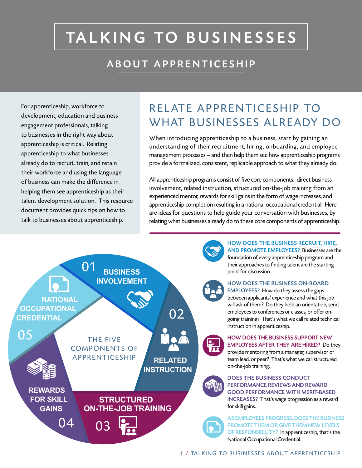# TALKING TO BUSINESSES

### ABOUT APPRENTICESHIP

For apprenticeship, workforce to development, education and business engagement professionals, talking to businesses in the right way about apprenticeship is critical. Relating apprenticeship to what businesses already do to recruit, train, and retain their workforce and using the language of business can make the difference in helping them see apprenticeship as their talent development solution. This resource document provides quick tips on how to talk to businesses about apprenticeship.

## RELATE APPRENTICESHIP TO WHAT BUSINESSES ALREADY DO

When introducing apprenticeship to a business, start by gaining an understanding of their recruitment, hiring, onboarding, and employee management processes – and then help them see how apprenticeship programs provide a formalized, consistent, replicable approach to what they already do. All apprenticeship programs consist of five core components: direct business

involvement, related instruction, structured on-the-job training from an experienced mentor, rewards for skill gains in the form of wage increases, and apprenticeship completion resulting in a national occupational credential. Here are ideas for questions to help guide your conversation with businesses, by relating what businesses already do to these core components of apprenticeship:



HOW DOES THE BUSINESS RECRUIT, HIRE, AND PROMOTE EMPLOYEES? Businesses are the

foundation of every apprenticeship program and their approaches to finding talent are the starting point for discussion.

#### HOW DOES THE BUSINESS ON-BOARD

EMPLOYEES? How do they assess the gaps between applicants' experience and what this job will ask of them? Do they hold an orientation, send employees to conferences or classes, or offer ongoing training? That's what we call related technical instruction in apprenticeship.

HOW DOES THE BUSINESS SUPPORT NEW EMPLOYEES AFTER THEY ARE HIRED? Do they provide mentoring from a manager, supervisor or team lead, or peer? That's what we call structured on-the-job training.

#### DOES THE BUSINESS CONDUCT PERFORMANCE REVIEWS AND REWARD GOOD PERFORMANCE WITH MERIT-BASED INCREASES? That's wage progression as a reward for skill gains.

AS EMPLOYEES PROGRESS, DOES THE BUSINESS PROMOTE THEM OR GIVE THEM NEW LEVELS OF RESPONSIBILITY? In apprenticeship, that's the National Occupational Credential.